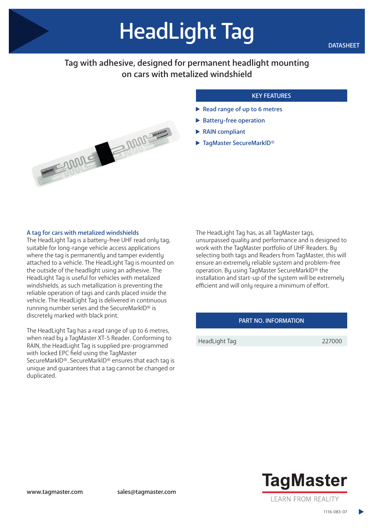# HeadLight Tag

# Tag with adhesive, designed for permanent headlight mounting on cars with metalized windshield



### KEY FEATURES

- Read range of up to 6 metres
- Battery-free operation
- RAIN compliant
- ▶ TagMaster SecureMarkID®

#### A tag for cars with metalized windshields

The HeadLight Tag is a battery-free UHF read only tag, suitable for long-range vehicle access applications where the tag is permanently and tamper evidently attached to a vehicle. The HeadLight Tag is mounted on the outside of the headlight using an adhesive. The HeadLight Tag is useful for vehicles with metalized windshields, as such metallization is preventing the reliable operation of tags and cards placed inside the vehicle. The HeadLight Tag is delivered in continuous running number series and the SecureMarkID® is discretely marked with black print.

The HeadLight Tag has a read range of up to 6 metres, when read by a TagMaster XT-5 Reader. Conforming to RAIN, the HeadLight Tag is supplied pre-programmed with locked EPC field using the TagMaster SecureMarkID®. SecureMarkID® ensures that each tag is unique and guarantees that a tag cannot be changed or duplicated.

The HeadLight Tag has, as all TagMaster tags, unsurpassed quality and performance and is designed to work with the TagMaster portfolio of UHF Readers. By selecting both tags and Readers from TagMaster, this will ensure an extremely reliable system and problem-free operation. By using TagMaster SecureMarkID® the installation and start-up of the system will be extremely efficient and will only require a minimum of effort.

#### PART NO. INFORMATION

HeadLight Tag 227000



1116-083-07